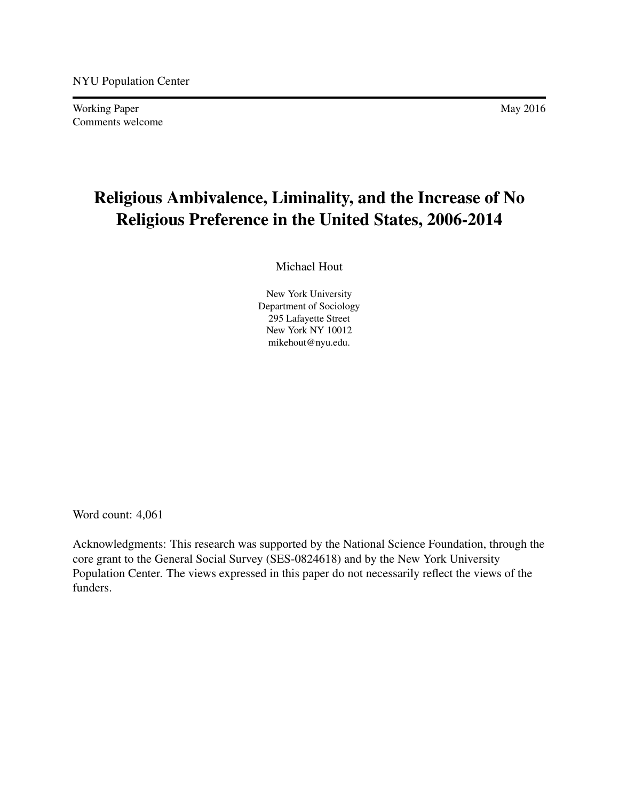Working Paper May 2016 Comments welcome

# Religious Ambivalence, Liminality, and the Increase of No Religious Preference in the United States, 2006-2014

Michael Hout

New York University Department of Sociology 295 Lafayette Street New York NY 10012 mikehout@nyu.edu.

Word count: 4,061

Acknowledgments: This research was supported by the National Science Foundation, through the core grant to the General Social Survey (SES-0824618) and by the New York University Population Center. The views expressed in this paper do not necessarily reflect the views of the funders.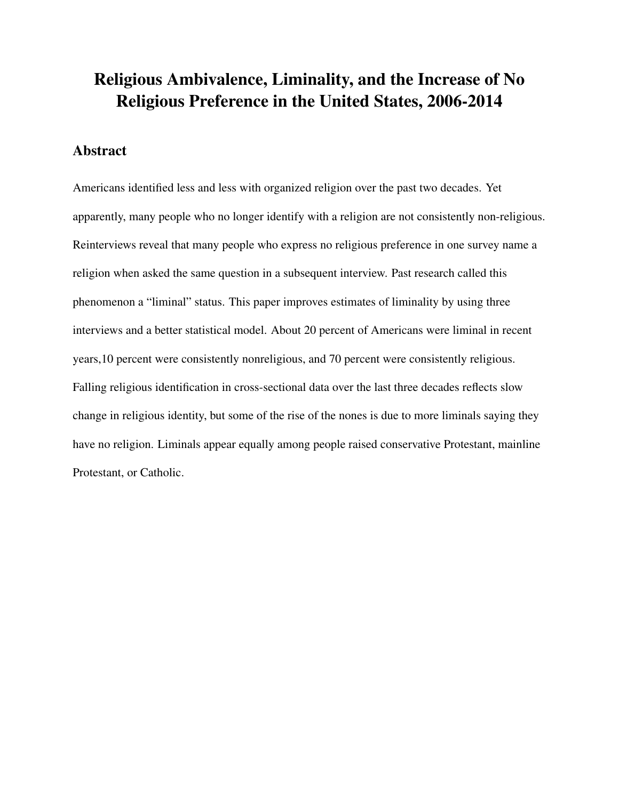# Religious Ambivalence, Liminality, and the Increase of No Religious Preference in the United States, 2006-2014

# Abstract

Americans identified less and less with organized religion over the past two decades. Yet apparently, many people who no longer identify with a religion are not consistently non-religious. Reinterviews reveal that many people who express no religious preference in one survey name a religion when asked the same question in a subsequent interview. Past research called this phenomenon a "liminal" status. This paper improves estimates of liminality by using three interviews and a better statistical model. About 20 percent of Americans were liminal in recent years,10 percent were consistently nonreligious, and 70 percent were consistently religious. Falling religious identification in cross-sectional data over the last three decades reflects slow change in religious identity, but some of the rise of the nones is due to more liminals saying they have no religion. Liminals appear equally among people raised conservative Protestant, mainline Protestant, or Catholic.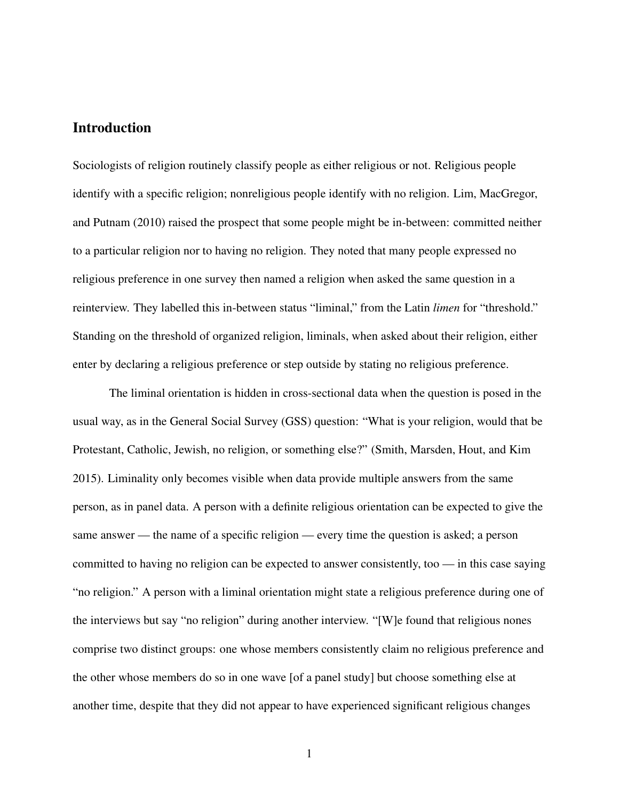## Introduction

Sociologists of religion routinely classify people as either religious or not. Religious people identify with a specific religion; nonreligious people identify with no religion. Lim, MacGregor, and Putnam (2010) raised the prospect that some people might be in-between: committed neither to a particular religion nor to having no religion. They noted that many people expressed no religious preference in one survey then named a religion when asked the same question in a reinterview. They labelled this in-between status "liminal," from the Latin *limen* for "threshold." Standing on the threshold of organized religion, liminals, when asked about their religion, either enter by declaring a religious preference or step outside by stating no religious preference.

The liminal orientation is hidden in cross-sectional data when the question is posed in the usual way, as in the General Social Survey (GSS) question: "What is your religion, would that be Protestant, Catholic, Jewish, no religion, or something else?" (Smith, Marsden, Hout, and Kim 2015). Liminality only becomes visible when data provide multiple answers from the same person, as in panel data. A person with a definite religious orientation can be expected to give the same answer — the name of a specific religion — every time the question is asked; a person committed to having no religion can be expected to answer consistently, too — in this case saying "no religion." A person with a liminal orientation might state a religious preference during one of the interviews but say "no religion" during another interview. "[W]e found that religious nones comprise two distinct groups: one whose members consistently claim no religious preference and the other whose members do so in one wave [of a panel study] but choose something else at another time, despite that they did not appear to have experienced significant religious changes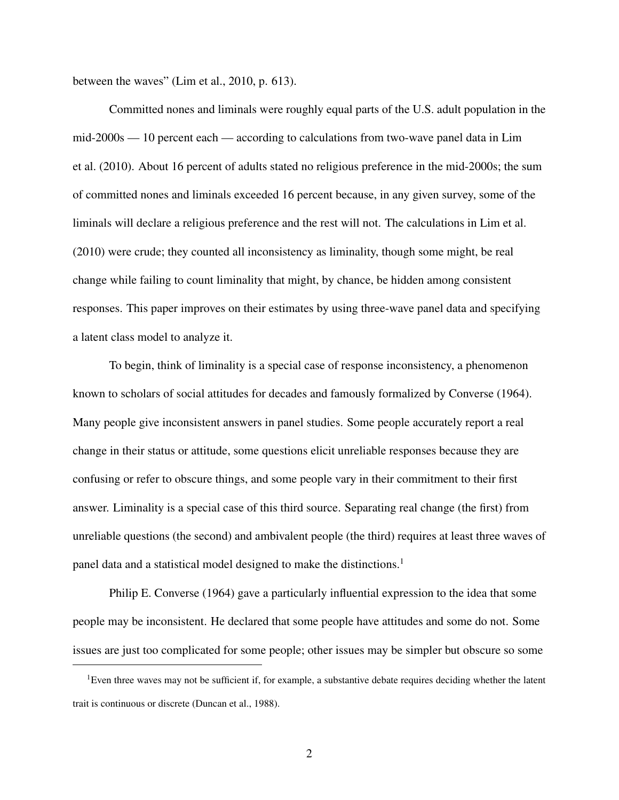between the waves" (Lim et al., 2010, p. 613).

Committed nones and liminals were roughly equal parts of the U.S. adult population in the mid-2000s — 10 percent each — according to calculations from two-wave panel data in Lim et al. (2010). About 16 percent of adults stated no religious preference in the mid-2000s; the sum of committed nones and liminals exceeded 16 percent because, in any given survey, some of the liminals will declare a religious preference and the rest will not. The calculations in Lim et al. (2010) were crude; they counted all inconsistency as liminality, though some might, be real change while failing to count liminality that might, by chance, be hidden among consistent responses. This paper improves on their estimates by using three-wave panel data and specifying a latent class model to analyze it.

To begin, think of liminality is a special case of response inconsistency, a phenomenon known to scholars of social attitudes for decades and famously formalized by Converse (1964). Many people give inconsistent answers in panel studies. Some people accurately report a real change in their status or attitude, some questions elicit unreliable responses because they are confusing or refer to obscure things, and some people vary in their commitment to their first answer. Liminality is a special case of this third source. Separating real change (the first) from unreliable questions (the second) and ambivalent people (the third) requires at least three waves of panel data and a statistical model designed to make the distinctions.<sup>1</sup>

Philip E. Converse (1964) gave a particularly influential expression to the idea that some people may be inconsistent. He declared that some people have attitudes and some do not. Some issues are just too complicated for some people; other issues may be simpler but obscure so some

<sup>&</sup>lt;sup>1</sup>Even three waves may not be sufficient if, for example, a substantive debate requires deciding whether the latent trait is continuous or discrete (Duncan et al., 1988).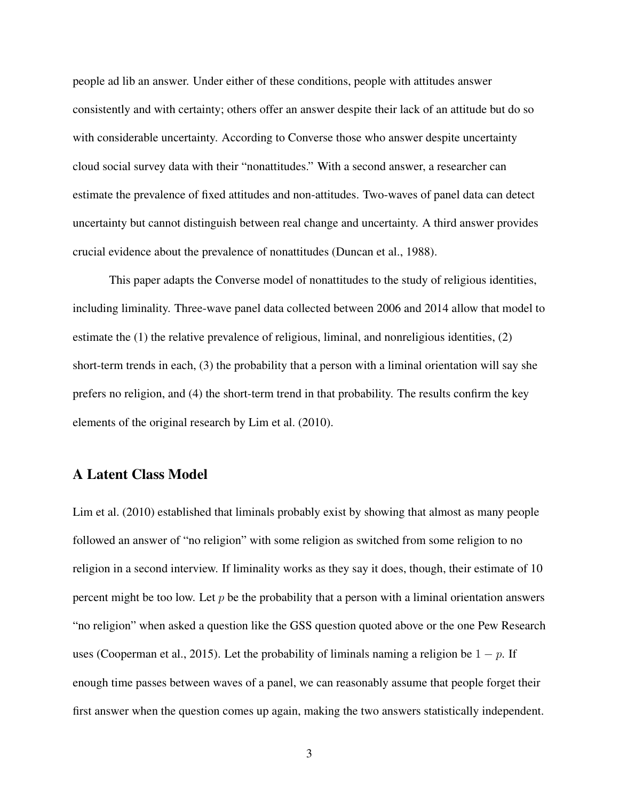people ad lib an answer. Under either of these conditions, people with attitudes answer consistently and with certainty; others offer an answer despite their lack of an attitude but do so with considerable uncertainty. According to Converse those who answer despite uncertainty cloud social survey data with their "nonattitudes." With a second answer, a researcher can estimate the prevalence of fixed attitudes and non-attitudes. Two-waves of panel data can detect uncertainty but cannot distinguish between real change and uncertainty. A third answer provides crucial evidence about the prevalence of nonattitudes (Duncan et al., 1988).

This paper adapts the Converse model of nonattitudes to the study of religious identities, including liminality. Three-wave panel data collected between 2006 and 2014 allow that model to estimate the (1) the relative prevalence of religious, liminal, and nonreligious identities, (2) short-term trends in each, (3) the probability that a person with a liminal orientation will say she prefers no religion, and (4) the short-term trend in that probability. The results confirm the key elements of the original research by Lim et al. (2010).

## A Latent Class Model

Lim et al. (2010) established that liminals probably exist by showing that almost as many people followed an answer of "no religion" with some religion as switched from some religion to no religion in a second interview. If liminality works as they say it does, though, their estimate of 10 percent might be too low. Let  $p$  be the probability that a person with a liminal orientation answers "no religion" when asked a question like the GSS question quoted above or the one Pew Research uses (Cooperman et al., 2015). Let the probability of liminals naming a religion be  $1 - p$ . If enough time passes between waves of a panel, we can reasonably assume that people forget their first answer when the question comes up again, making the two answers statistically independent.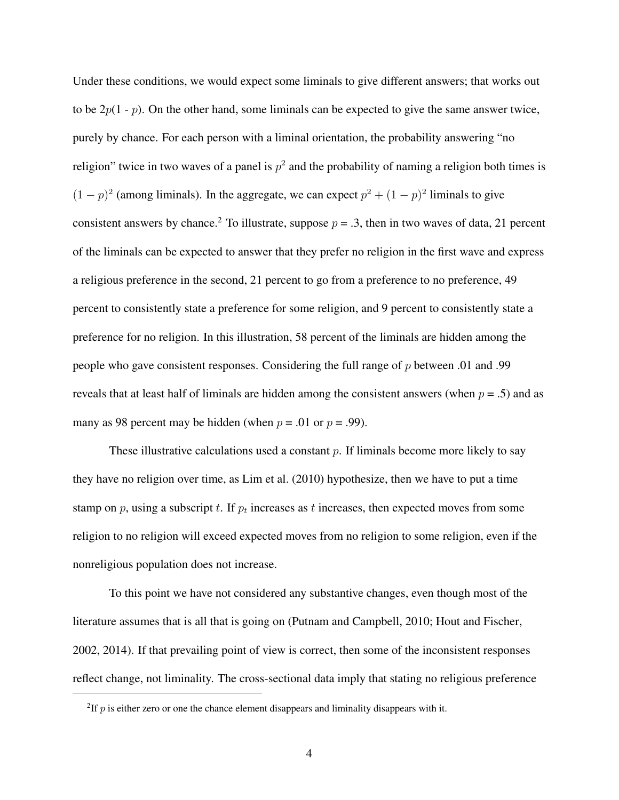Under these conditions, we would expect some liminals to give different answers; that works out to be  $2p(1-p)$ . On the other hand, some liminals can be expected to give the same answer twice, purely by chance. For each person with a liminal orientation, the probability answering "no religion" twice in two waves of a panel is  $p^2$  and the probability of naming a religion both times is  $(1-p)^2$  (among liminals). In the aggregate, we can expect  $p^2 + (1-p)^2$  liminals to give consistent answers by chance.<sup>2</sup> To illustrate, suppose  $p = 0.3$ , then in two waves of data, 21 percent of the liminals can be expected to answer that they prefer no religion in the first wave and express a religious preference in the second, 21 percent to go from a preference to no preference, 49 percent to consistently state a preference for some religion, and 9 percent to consistently state a preference for no religion. In this illustration, 58 percent of the liminals are hidden among the people who gave consistent responses. Considering the full range of  $p$  between .01 and .99 reveals that at least half of liminals are hidden among the consistent answers (when  $p = .5$ ) and as many as 98 percent may be hidden (when  $p = .01$  or  $p = .99$ ).

These illustrative calculations used a constant  $p$ . If liminals become more likely to say they have no religion over time, as Lim et al. (2010) hypothesize, then we have to put a time stamp on p, using a subscript t. If  $p_t$  increases as t increases, then expected moves from some religion to no religion will exceed expected moves from no religion to some religion, even if the nonreligious population does not increase.

To this point we have not considered any substantive changes, even though most of the literature assumes that is all that is going on (Putnam and Campbell, 2010; Hout and Fischer, 2002, 2014). If that prevailing point of view is correct, then some of the inconsistent responses reflect change, not liminality. The cross-sectional data imply that stating no religious preference

<sup>&</sup>lt;sup>2</sup>If  $p$  is either zero or one the chance element disappears and liminality disappears with it.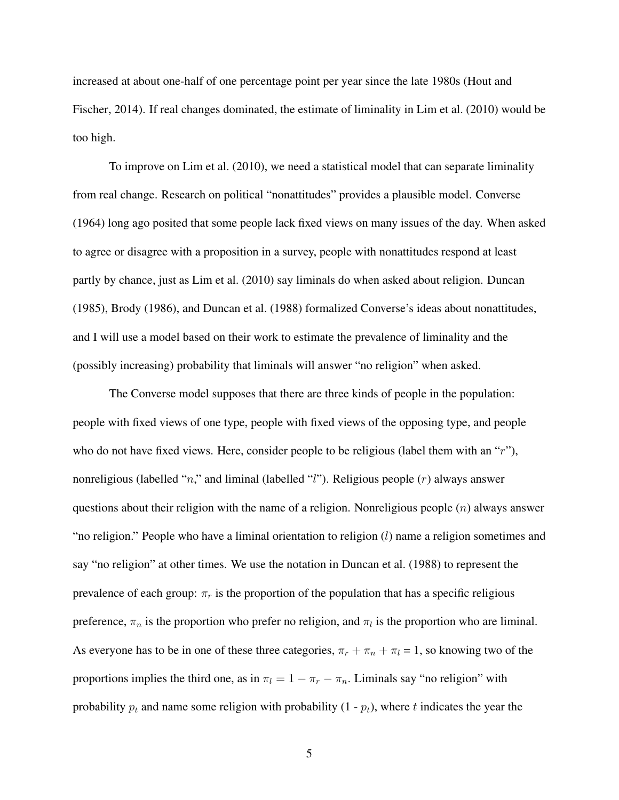increased at about one-half of one percentage point per year since the late 1980s (Hout and Fischer, 2014). If real changes dominated, the estimate of liminality in Lim et al. (2010) would be too high.

To improve on Lim et al. (2010), we need a statistical model that can separate liminality from real change. Research on political "nonattitudes" provides a plausible model. Converse (1964) long ago posited that some people lack fixed views on many issues of the day. When asked to agree or disagree with a proposition in a survey, people with nonattitudes respond at least partly by chance, just as Lim et al. (2010) say liminals do when asked about religion. Duncan (1985), Brody (1986), and Duncan et al. (1988) formalized Converse's ideas about nonattitudes, and I will use a model based on their work to estimate the prevalence of liminality and the (possibly increasing) probability that liminals will answer "no religion" when asked.

The Converse model supposes that there are three kinds of people in the population: people with fixed views of one type, people with fixed views of the opposing type, and people who do not have fixed views. Here, consider people to be religious (label them with an "r"), nonreligious (labelled "n," and liminal (labelled "l"). Religious people  $(r)$  always answer questions about their religion with the name of a religion. Nonreligious people  $(n)$  always answer "no religion." People who have a liminal orientation to religion  $(l)$  name a religion sometimes and say "no religion" at other times. We use the notation in Duncan et al. (1988) to represent the prevalence of each group:  $\pi_r$  is the proportion of the population that has a specific religious preference,  $\pi_n$  is the proportion who prefer no religion, and  $\pi_l$  is the proportion who are liminal. As everyone has to be in one of these three categories,  $\pi_r + \pi_n + \pi_l = 1$ , so knowing two of the proportions implies the third one, as in  $\pi_l = 1 - \pi_r - \pi_n$ . Liminals say "no religion" with probability  $p_t$  and name some religion with probability  $(1 - p_t)$ , where t indicates the year the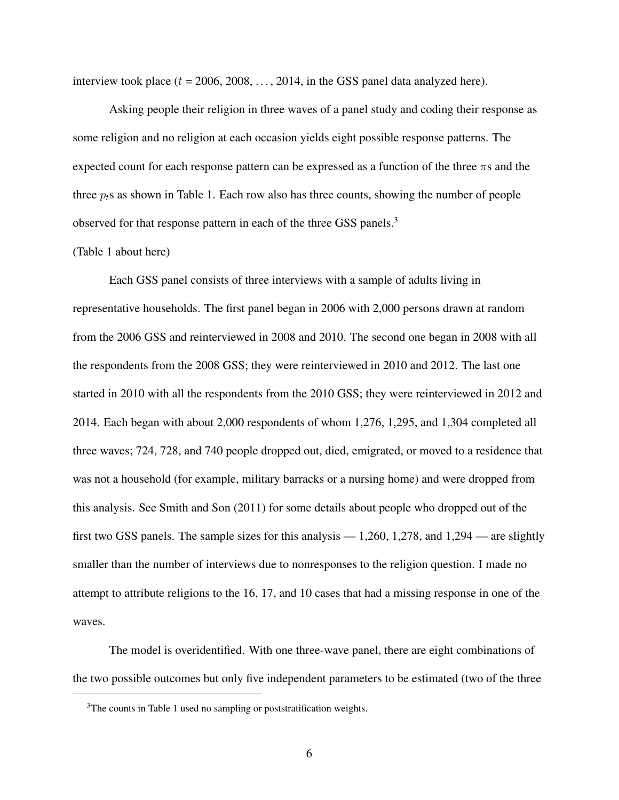interview took place  $(t = 2006, 2008, \ldots, 2014)$ , in the GSS panel data analyzed here).

Asking people their religion in three waves of a panel study and coding their response as some religion and no religion at each occasion yields eight possible response patterns. The expected count for each response pattern can be expressed as a function of the three  $\pi s$  and the three  $p_t$ s as shown in Table 1. Each row also has three counts, showing the number of people observed for that response pattern in each of the three GSS panels.<sup>3</sup>

#### (Table 1 about here)

Each GSS panel consists of three interviews with a sample of adults living in representative households. The first panel began in 2006 with 2,000 persons drawn at random from the 2006 GSS and reinterviewed in 2008 and 2010. The second one began in 2008 with all the respondents from the 2008 GSS; they were reinterviewed in 2010 and 2012. The last one started in 2010 with all the respondents from the 2010 GSS; they were reinterviewed in 2012 and 2014. Each began with about 2,000 respondents of whom 1,276, 1,295, and 1,304 completed all three waves; 724, 728, and 740 people dropped out, died, emigrated, or moved to a residence that was not a household (for example, military barracks or a nursing home) and were dropped from this analysis. See Smith and Son (2011) for some details about people who dropped out of the first two GSS panels. The sample sizes for this analysis  $-1,260, 1,278$ , and  $1,294$  — are slightly smaller than the number of interviews due to nonresponses to the religion question. I made no attempt to attribute religions to the 16, 17, and 10 cases that had a missing response in one of the waves.

The model is overidentified. With one three-wave panel, there are eight combinations of the two possible outcomes but only five independent parameters to be estimated (two of the three

<sup>&</sup>lt;sup>3</sup>The counts in Table 1 used no sampling or poststratification weights.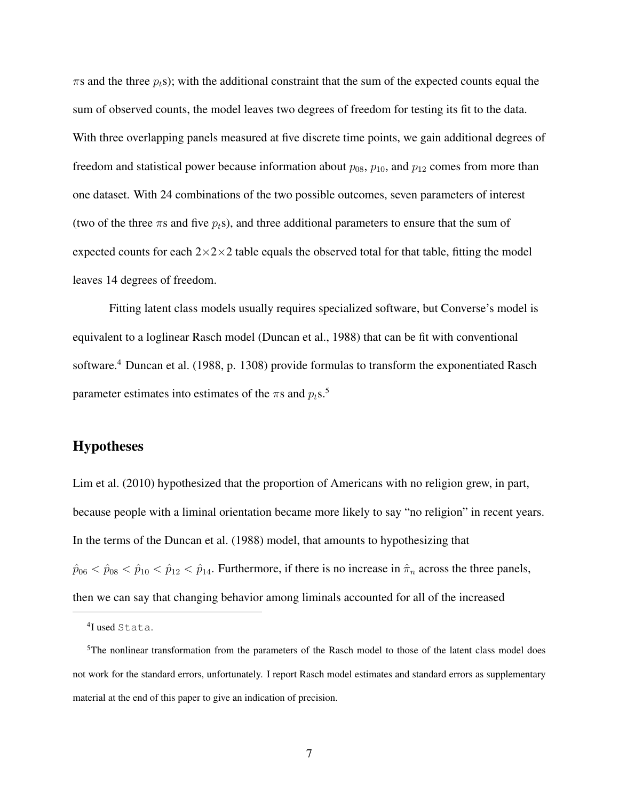$\pi$ s and the three  $p_f$ s); with the additional constraint that the sum of the expected counts equal the sum of observed counts, the model leaves two degrees of freedom for testing its fit to the data. With three overlapping panels measured at five discrete time points, we gain additional degrees of freedom and statistical power because information about  $p_{08}$ ,  $p_{10}$ , and  $p_{12}$  comes from more than one dataset. With 24 combinations of the two possible outcomes, seven parameters of interest (two of the three  $\pi s$  and five  $p_t s$ ), and three additional parameters to ensure that the sum of expected counts for each  $2 \times 2 \times 2$  table equals the observed total for that table, fitting the model leaves 14 degrees of freedom.

Fitting latent class models usually requires specialized software, but Converse's model is equivalent to a loglinear Rasch model (Duncan et al., 1988) that can be fit with conventional software.<sup>4</sup> Duncan et al. (1988, p. 1308) provide formulas to transform the exponentiated Rasch parameter estimates into estimates of the  $\pi s$  and  $p_t s$ .<sup>5</sup>

# Hypotheses

Lim et al. (2010) hypothesized that the proportion of Americans with no religion grew, in part, because people with a liminal orientation became more likely to say "no religion" in recent years. In the terms of the Duncan et al. (1988) model, that amounts to hypothesizing that  $\hat{p}_{06} < \hat{p}_{08} < \hat{p}_{10} < \hat{p}_{12} < \hat{p}_{14}$ . Furthermore, if there is no increase in  $\hat{\pi}_n$  across the three panels, then we can say that changing behavior among liminals accounted for all of the increased

<sup>4</sup> I used Stata.

<sup>5</sup>The nonlinear transformation from the parameters of the Rasch model to those of the latent class model does not work for the standard errors, unfortunately. I report Rasch model estimates and standard errors as supplementary material at the end of this paper to give an indication of precision.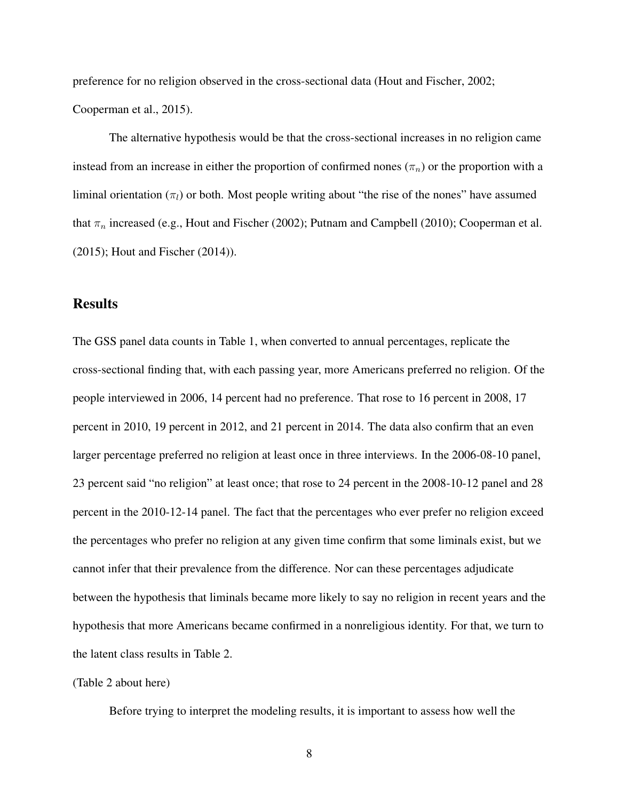preference for no religion observed in the cross-sectional data (Hout and Fischer, 2002; Cooperman et al., 2015).

The alternative hypothesis would be that the cross-sectional increases in no religion came instead from an increase in either the proportion of confirmed nones  $(\pi_n)$  or the proportion with a liminal orientation  $(\pi_l)$  or both. Most people writing about "the rise of the nones" have assumed that  $\pi_n$  increased (e.g., Hout and Fischer (2002); Putnam and Campbell (2010); Cooperman et al. (2015); Hout and Fischer (2014)).

# **Results**

The GSS panel data counts in Table 1, when converted to annual percentages, replicate the cross-sectional finding that, with each passing year, more Americans preferred no religion. Of the people interviewed in 2006, 14 percent had no preference. That rose to 16 percent in 2008, 17 percent in 2010, 19 percent in 2012, and 21 percent in 2014. The data also confirm that an even larger percentage preferred no religion at least once in three interviews. In the 2006-08-10 panel, 23 percent said "no religion" at least once; that rose to 24 percent in the 2008-10-12 panel and 28 percent in the 2010-12-14 panel. The fact that the percentages who ever prefer no religion exceed the percentages who prefer no religion at any given time confirm that some liminals exist, but we cannot infer that their prevalence from the difference. Nor can these percentages adjudicate between the hypothesis that liminals became more likely to say no religion in recent years and the hypothesis that more Americans became confirmed in a nonreligious identity. For that, we turn to the latent class results in Table 2.

#### (Table 2 about here)

Before trying to interpret the modeling results, it is important to assess how well the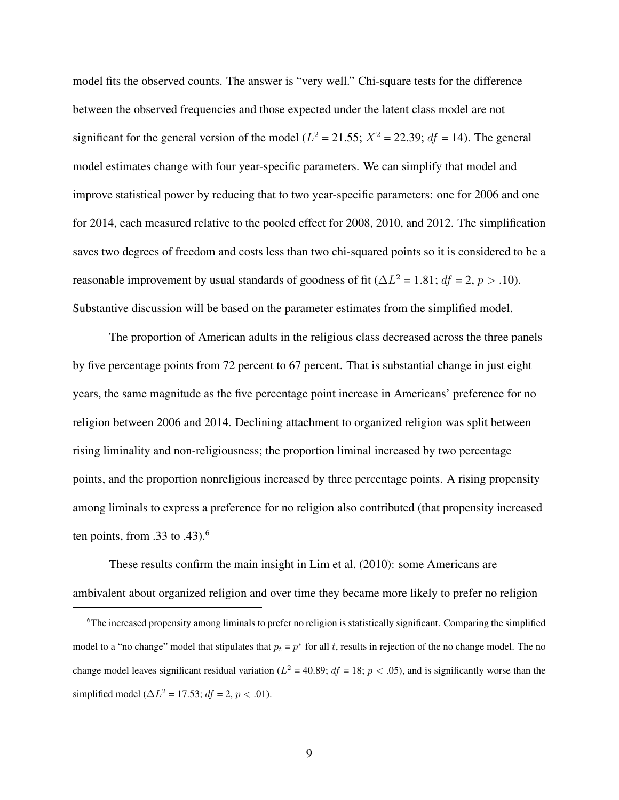model fits the observed counts. The answer is "very well." Chi-square tests for the difference between the observed frequencies and those expected under the latent class model are not significant for the general version of the model ( $L^2 = 21.55$ ;  $X^2 = 22.39$ ;  $df = 14$ ). The general model estimates change with four year-specific parameters. We can simplify that model and improve statistical power by reducing that to two year-specific parameters: one for 2006 and one for 2014, each measured relative to the pooled effect for 2008, 2010, and 2012. The simplification saves two degrees of freedom and costs less than two chi-squared points so it is considered to be a reasonable improvement by usual standards of goodness of fit ( $\Delta L^2 = 1.81$ ;  $df = 2$ ,  $p > .10$ ). Substantive discussion will be based on the parameter estimates from the simplified model.

The proportion of American adults in the religious class decreased across the three panels by five percentage points from 72 percent to 67 percent. That is substantial change in just eight years, the same magnitude as the five percentage point increase in Americans' preference for no religion between 2006 and 2014. Declining attachment to organized religion was split between rising liminality and non-religiousness; the proportion liminal increased by two percentage points, and the proportion nonreligious increased by three percentage points. A rising propensity among liminals to express a preference for no religion also contributed (that propensity increased ten points, from  $.33$  to  $.43$ ).<sup>6</sup>

These results confirm the main insight in Lim et al. (2010): some Americans are ambivalent about organized religion and over time they became more likely to prefer no religion

 $6$ The increased propensity among liminals to prefer no religion is statistically significant. Comparing the simplified model to a "no change" model that stipulates that  $p_t = p^*$  for all t, results in rejection of the no change model. The no change model leaves significant residual variation ( $L^2$  = 40.89;  $df$  = 18;  $p$  < .05), and is significantly worse than the simplified model ( $\Delta L^2 = 17.53$ ;  $df = 2$ ,  $p < .01$ ).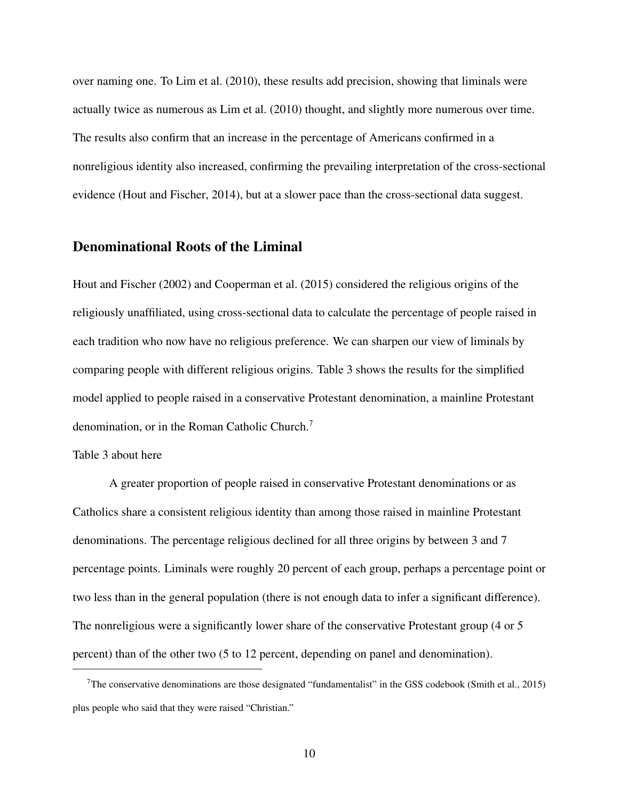over naming one. To Lim et al. (2010), these results add precision, showing that liminals were actually twice as numerous as Lim et al. (2010) thought, and slightly more numerous over time. The results also confirm that an increase in the percentage of Americans confirmed in a nonreligious identity also increased, confirming the prevailing interpretation of the cross-sectional evidence (Hout and Fischer, 2014), but at a slower pace than the cross-sectional data suggest.

## Denominational Roots of the Liminal

Hout and Fischer (2002) and Cooperman et al. (2015) considered the religious origins of the religiously unaffiliated, using cross-sectional data to calculate the percentage of people raised in each tradition who now have no religious preference. We can sharpen our view of liminals by comparing people with different religious origins. Table 3 shows the results for the simplified model applied to people raised in a conservative Protestant denomination, a mainline Protestant denomination, or in the Roman Catholic Church.<sup>7</sup>

#### Table 3 about here

A greater proportion of people raised in conservative Protestant denominations or as Catholics share a consistent religious identity than among those raised in mainline Protestant denominations. The percentage religious declined for all three origins by between 3 and 7 percentage points. Liminals were roughly 20 percent of each group, perhaps a percentage point or two less than in the general population (there is not enough data to infer a significant difference). The nonreligious were a significantly lower share of the conservative Protestant group (4 or 5 percent) than of the other two (5 to 12 percent, depending on panel and denomination).

<sup>7</sup>The conservative denominations are those designated "fundamentalist" in the GSS codebook (Smith et al., 2015) plus people who said that they were raised "Christian."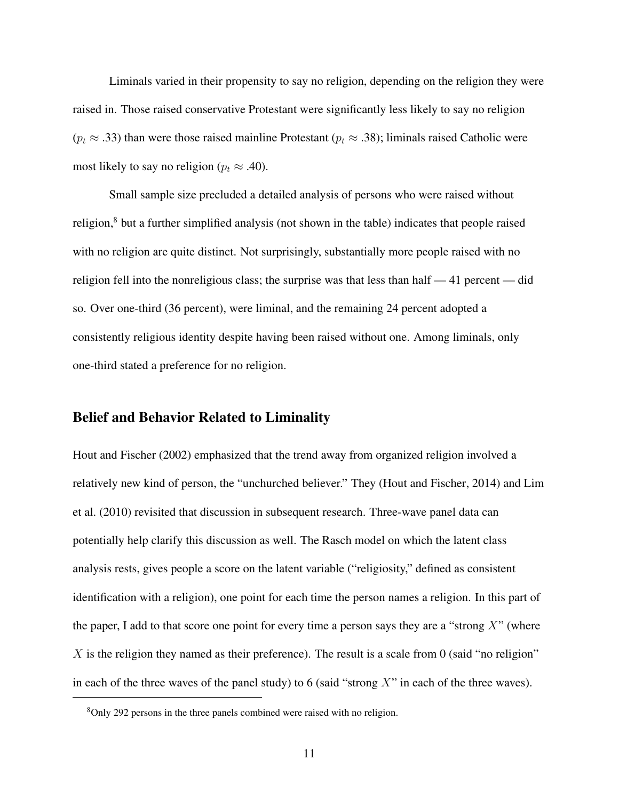Liminals varied in their propensity to say no religion, depending on the religion they were raised in. Those raised conservative Protestant were significantly less likely to say no religion  $(p_t \approx .33)$  than were those raised mainline Protestant  $(p_t \approx .38)$ ; liminals raised Catholic were most likely to say no religion ( $p_t \approx .40$ ).

Small sample size precluded a detailed analysis of persons who were raised without religion,<sup>8</sup> but a further simplified analysis (not shown in the table) indicates that people raised with no religion are quite distinct. Not surprisingly, substantially more people raised with no religion fell into the nonreligious class; the surprise was that less than half — 41 percent — did so. Over one-third (36 percent), were liminal, and the remaining 24 percent adopted a consistently religious identity despite having been raised without one. Among liminals, only one-third stated a preference for no religion.

# Belief and Behavior Related to Liminality

Hout and Fischer (2002) emphasized that the trend away from organized religion involved a relatively new kind of person, the "unchurched believer." They (Hout and Fischer, 2014) and Lim et al. (2010) revisited that discussion in subsequent research. Three-wave panel data can potentially help clarify this discussion as well. The Rasch model on which the latent class analysis rests, gives people a score on the latent variable ("religiosity," defined as consistent identification with a religion), one point for each time the person names a religion. In this part of the paper, I add to that score one point for every time a person says they are a "strong  $X$ " (where X is the religion they named as their preference). The result is a scale from 0 (said "no religion" in each of the three waves of the panel study) to 6 (said "strong  $X$ " in each of the three waves).

<sup>8</sup>Only 292 persons in the three panels combined were raised with no religion.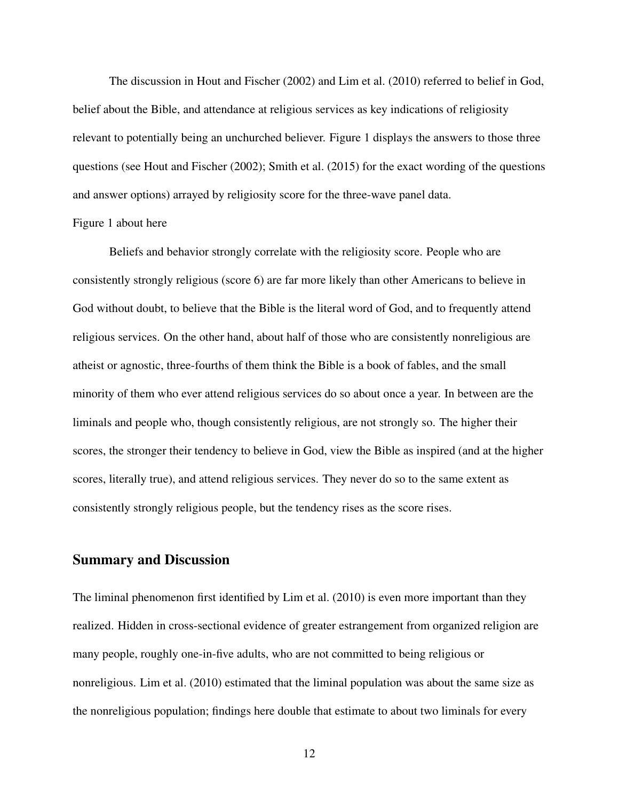The discussion in Hout and Fischer (2002) and Lim et al. (2010) referred to belief in God, belief about the Bible, and attendance at religious services as key indications of religiosity relevant to potentially being an unchurched believer. Figure 1 displays the answers to those three questions (see Hout and Fischer (2002); Smith et al. (2015) for the exact wording of the questions and answer options) arrayed by religiosity score for the three-wave panel data.

#### Figure 1 about here

Beliefs and behavior strongly correlate with the religiosity score. People who are consistently strongly religious (score 6) are far more likely than other Americans to believe in God without doubt, to believe that the Bible is the literal word of God, and to frequently attend religious services. On the other hand, about half of those who are consistently nonreligious are atheist or agnostic, three-fourths of them think the Bible is a book of fables, and the small minority of them who ever attend religious services do so about once a year. In between are the liminals and people who, though consistently religious, are not strongly so. The higher their scores, the stronger their tendency to believe in God, view the Bible as inspired (and at the higher scores, literally true), and attend religious services. They never do so to the same extent as consistently strongly religious people, but the tendency rises as the score rises.

#### Summary and Discussion

The liminal phenomenon first identified by Lim et al. (2010) is even more important than they realized. Hidden in cross-sectional evidence of greater estrangement from organized religion are many people, roughly one-in-five adults, who are not committed to being religious or nonreligious. Lim et al. (2010) estimated that the liminal population was about the same size as the nonreligious population; findings here double that estimate to about two liminals for every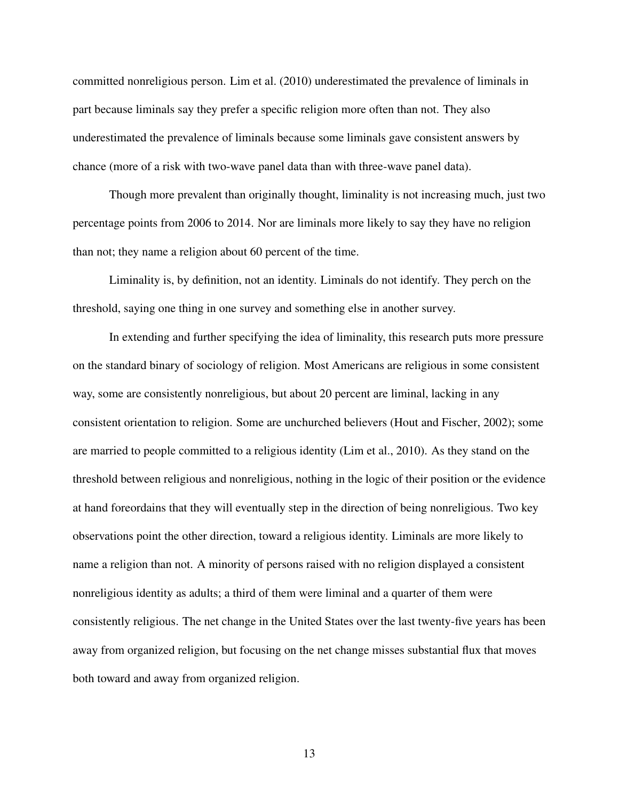committed nonreligious person. Lim et al. (2010) underestimated the prevalence of liminals in part because liminals say they prefer a specific religion more often than not. They also underestimated the prevalence of liminals because some liminals gave consistent answers by chance (more of a risk with two-wave panel data than with three-wave panel data).

Though more prevalent than originally thought, liminality is not increasing much, just two percentage points from 2006 to 2014. Nor are liminals more likely to say they have no religion than not; they name a religion about 60 percent of the time.

Liminality is, by definition, not an identity. Liminals do not identify. They perch on the threshold, saying one thing in one survey and something else in another survey.

In extending and further specifying the idea of liminality, this research puts more pressure on the standard binary of sociology of religion. Most Americans are religious in some consistent way, some are consistently nonreligious, but about 20 percent are liminal, lacking in any consistent orientation to religion. Some are unchurched believers (Hout and Fischer, 2002); some are married to people committed to a religious identity (Lim et al., 2010). As they stand on the threshold between religious and nonreligious, nothing in the logic of their position or the evidence at hand foreordains that they will eventually step in the direction of being nonreligious. Two key observations point the other direction, toward a religious identity. Liminals are more likely to name a religion than not. A minority of persons raised with no religion displayed a consistent nonreligious identity as adults; a third of them were liminal and a quarter of them were consistently religious. The net change in the United States over the last twenty-five years has been away from organized religion, but focusing on the net change misses substantial flux that moves both toward and away from organized religion.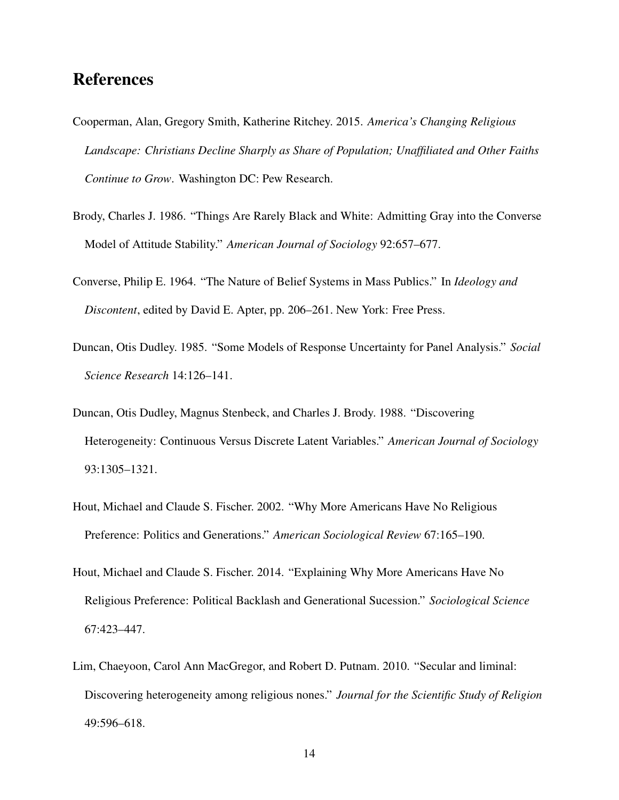# References

- Cooperman, Alan, Gregory Smith, Katherine Ritchey. 2015. *America's Changing Religious Landscape: Christians Decline Sharply as Share of Population; Unaffiliated and Other Faiths Continue to Grow*. Washington DC: Pew Research.
- Brody, Charles J. 1986. "Things Are Rarely Black and White: Admitting Gray into the Converse Model of Attitude Stability." *American Journal of Sociology* 92:657–677.
- Converse, Philip E. 1964. "The Nature of Belief Systems in Mass Publics." In *Ideology and Discontent*, edited by David E. Apter, pp. 206–261. New York: Free Press.
- Duncan, Otis Dudley. 1985. "Some Models of Response Uncertainty for Panel Analysis." *Social Science Research* 14:126–141.
- Duncan, Otis Dudley, Magnus Stenbeck, and Charles J. Brody. 1988. "Discovering Heterogeneity: Continuous Versus Discrete Latent Variables." *American Journal of Sociology* 93:1305–1321.
- Hout, Michael and Claude S. Fischer. 2002. "Why More Americans Have No Religious Preference: Politics and Generations." *American Sociological Review* 67:165–190.
- Hout, Michael and Claude S. Fischer. 2014. "Explaining Why More Americans Have No Religious Preference: Political Backlash and Generational Sucession." *Sociological Science* 67:423–447.
- Lim, Chaeyoon, Carol Ann MacGregor, and Robert D. Putnam. 2010. "Secular and liminal: Discovering heterogeneity among religious nones." *Journal for the Scientific Study of Religion* 49:596–618.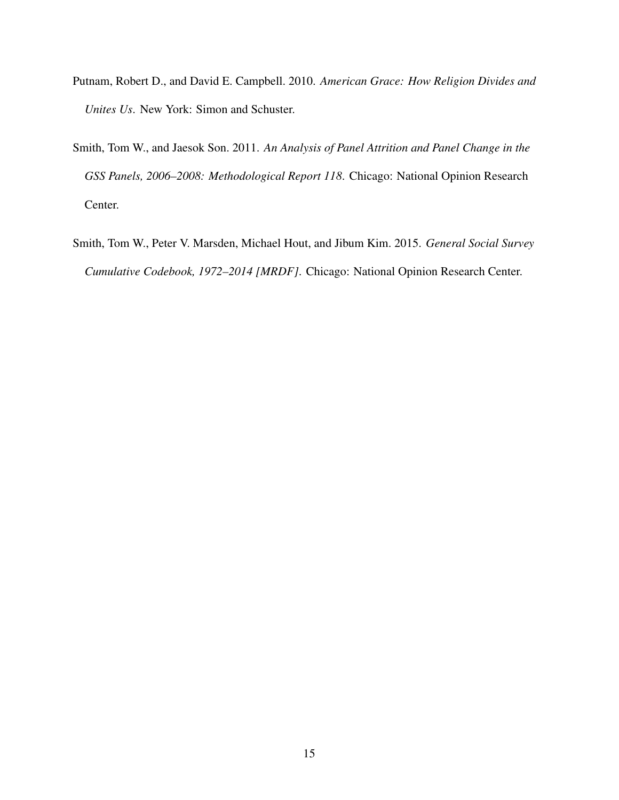- Putnam, Robert D., and David E. Campbell. 2010. *American Grace: How Religion Divides and Unites Us*. New York: Simon and Schuster.
- Smith, Tom W., and Jaesok Son. 2011. *An Analysis of Panel Attrition and Panel Change in the GSS Panels, 2006–2008: Methodological Report 118*. Chicago: National Opinion Research Center.
- Smith, Tom W., Peter V. Marsden, Michael Hout, and Jibum Kim. 2015. *General Social Survey Cumulative Codebook, 1972–2014 [MRDF]*. Chicago: National Opinion Research Center.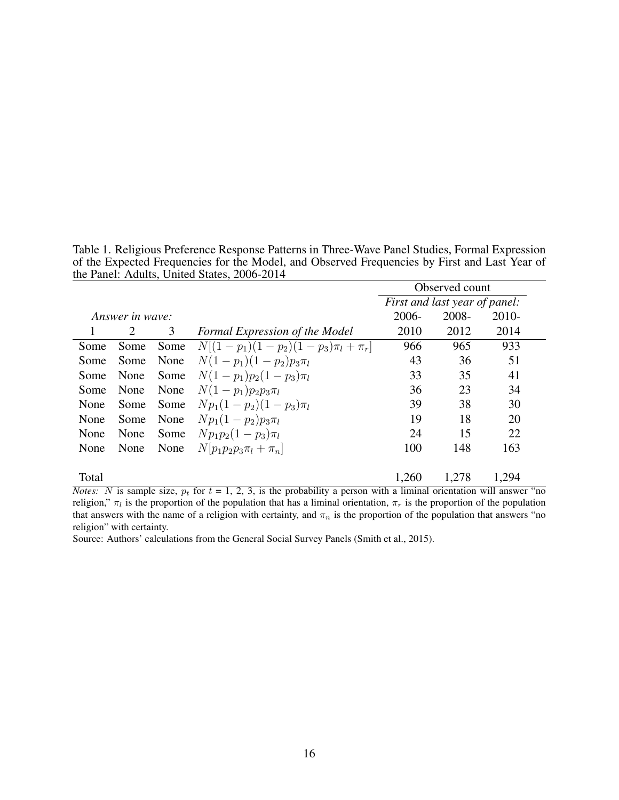Table 1. Religious Preference Response Patterns in Three-Wave Panel Studies, Formal Expression of the Expected Frequencies for the Model, and Observed Frequencies by First and Last Year of the Panel: Adults, United States, 2006-2014

|                 |      |      |                                         | Observed count |                               |         |
|-----------------|------|------|-----------------------------------------|----------------|-------------------------------|---------|
|                 |      |      |                                         |                | First and last year of panel: |         |
| Answer in wave: |      |      |                                         | 2006-          | 2008-                         | $2010-$ |
|                 | 2    | 3    | Formal Expression of the Model          | 2010           | 2012                          | 2014    |
| Some            | Some | Some | $N[(1-p_1)(1-p_2)(1-p_3)\pi_l + \pi_r]$ | 966            | 965                           | 933     |
| Some            | Some | None | $N(1-p_1)(1-p_2)p_3\pi_l$               | 43             | 36                            | 51      |
| Some            | None | Some | $N(1-p_1)p_2(1-p_3)\pi_l$               | 33             | 35                            | 41      |
| Some            | None | None | $N(1-p_1)p_2p_3\pi_l$                   | 36             | 23                            | 34      |
| None            | Some | Some | $Np_1(1-p_2)(1-p_3)\pi_l$               | 39             | 38                            | 30      |
| None            | Some | None | $Np_1(1-p_2)p_3\pi_l$                   | 19             | 18                            | 20      |
| None            | None | Some | $Np_1p_2(1-p_3)\pi_l$                   | 24             | 15                            | 22      |
| None            | None | None | $N[p_1p_2p_3\pi_l + \pi_n]$             | 100            | 148                           | 163     |
|                 |      |      |                                         |                |                               |         |
| Total           |      |      |                                         | 1,260          | 1,278                         | 1,294   |

*Notes:* N is sample size,  $p_t$  for  $t = 1, 2, 3$ , is the probability a person with a liminal orientation will answer "no religion,"  $\pi_l$  is the proportion of the population that has a liminal orientation,  $\pi_r$  is the proportion of the population that answers with the name of a religion with certainty, and  $\pi_n$  is the proportion of the population that answers "no religion" with certainty.

Source: Authors' calculations from the General Social Survey Panels (Smith et al., 2015).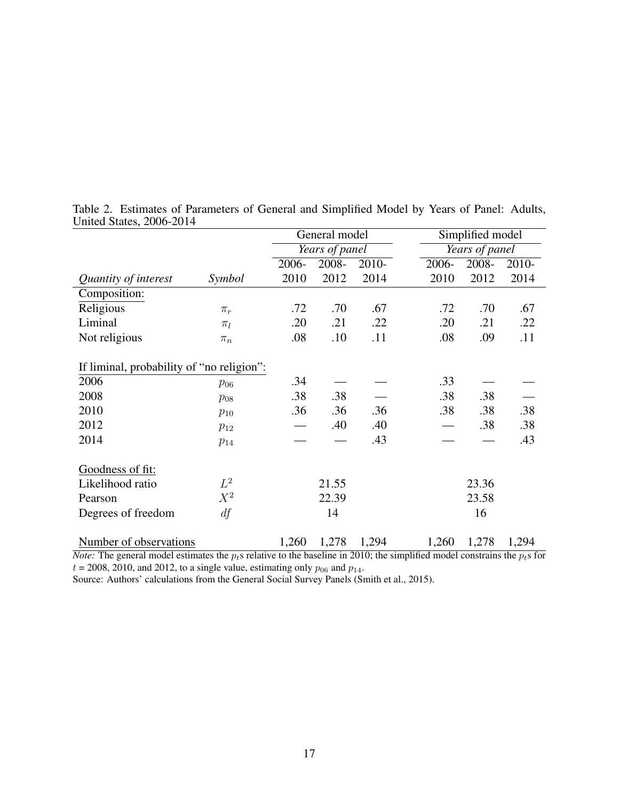|                                           |          | General model |                | Simplified model |       |                |         |
|-------------------------------------------|----------|---------------|----------------|------------------|-------|----------------|---------|
|                                           |          |               | Years of panel |                  |       | Years of panel |         |
|                                           |          | 2006-         | 2008-          | $2010-$          | 2006- | 2008-          | $2010-$ |
| Quantity of interest                      | Symbol   | 2010          | 2012           | 2014             | 2010  | 2012           | 2014    |
| Composition:                              |          |               |                |                  |       |                |         |
| Religious                                 | $\pi_r$  | .72           | .70            | .67              | .72   | .70            | .67     |
| Liminal                                   | $\pi_l$  | .20           | .21            | .22              | .20   | .21            | .22     |
| Not religious                             | $\pi_n$  | .08           | .10            | .11              | .08   | .09            | .11     |
|                                           |          |               |                |                  |       |                |         |
| If liminal, probability of "no religion": |          |               |                |                  |       |                |         |
| 2006                                      | $p_{06}$ | .34           |                |                  | .33   |                |         |
| 2008                                      | $p_{08}$ | .38           | .38            |                  | .38   | .38            |         |
| 2010                                      | $p_{10}$ | .36           | .36            | .36              | .38   | .38            | .38     |
| 2012                                      | $p_{12}$ |               | .40            | .40              |       | .38            | .38     |
| 2014                                      | $p_{14}$ |               |                | .43              |       |                | .43     |
|                                           |          |               |                |                  |       |                |         |
| Goodness of fit:                          |          |               |                |                  |       |                |         |
| Likelihood ratio                          | $L^2$    |               | 21.55          |                  |       | 23.36          |         |
| Pearson                                   | $X^2$    |               | 22.39          |                  |       | 23.58          |         |
| Degrees of freedom                        | df       |               | 14             |                  |       | 16             |         |
|                                           |          |               |                |                  |       |                |         |
| Number of observations                    |          | 1,260         | 1,278          | 1,294            | 1,260 | 1,278          | 1,294   |

Table 2. Estimates of Parameters of General and Simplified Model by Years of Panel: Adults, United States, 2006-2014

*Note:* The general model estimates the  $p_t$ s relative to the baseline in 2010; the simplified model constrains the  $p_t$ s for  $t = 2008$ , 2010, and 2012, to a single value, estimating only  $p_{06}$  and  $p_{14}$ .

Source: Authors' calculations from the General Social Survey Panels (Smith et al., 2015).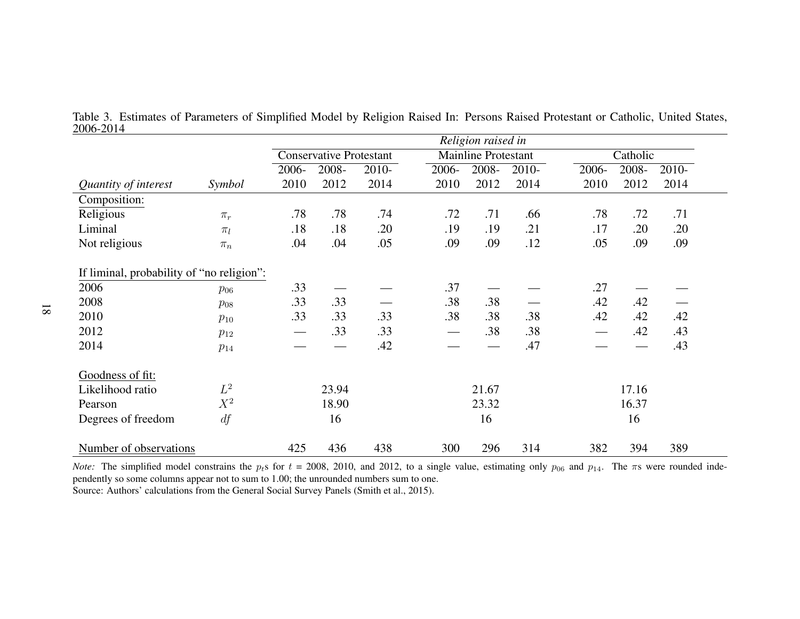| $\sim$ $\sim$ $\sim$ $\sim$ $\sim$ $\sim$ |          |         |                                |         |       | Religion raised in  |         |       |          |         |  |
|-------------------------------------------|----------|---------|--------------------------------|---------|-------|---------------------|---------|-------|----------|---------|--|
|                                           |          |         | <b>Conservative Protestant</b> |         |       | Mainline Protestant |         |       | Catholic |         |  |
|                                           |          | $2006-$ | 2008-                          | $2010-$ | 2006- | $2008 -$            | $2010-$ | 2006- | $2008 -$ | $2010-$ |  |
| Quantity of interest                      | Symbol   | 2010    | 2012                           | 2014    | 2010  | 2012                | 2014    | 2010  | 2012     | 2014    |  |
| Composition:                              |          |         |                                |         |       |                     |         |       |          |         |  |
| Religious                                 | $\pi_r$  | .78     | .78                            | .74     | .72   | .71                 | .66     | .78   | .72      | .71     |  |
| Liminal                                   | $\pi_l$  | .18     | .18                            | .20     | .19   | .19                 | .21     | .17   | .20      | .20     |  |
| Not religious                             | $\pi_n$  | .04     | .04                            | .05     | .09   | .09                 | .12     | .05   | .09      | .09     |  |
| If liminal, probability of "no religion": |          |         |                                |         |       |                     |         |       |          |         |  |
| 2006                                      | $p_{06}$ | .33     |                                |         | .37   |                     |         | .27   |          |         |  |
| 2008                                      | $p_{08}$ | .33     | .33                            |         | .38   | .38                 |         | .42   | .42      |         |  |
| 2010                                      | $p_{10}$ | .33     | .33                            | .33     | .38   | .38                 | .38     | .42   | .42      | .42     |  |
| 2012                                      | $p_{12}$ |         | .33                            | .33     |       | .38                 | .38     |       | .42      | .43     |  |
| 2014                                      | $p_{14}$ |         |                                | .42     |       |                     | .47     |       |          | .43     |  |
| Goodness of fit:                          |          |         |                                |         |       |                     |         |       |          |         |  |
| Likelihood ratio                          | $L^2$    |         | 23.94                          |         |       | 21.67               |         |       | 17.16    |         |  |
| Pearson                                   | $X^2$    |         | 18.90                          |         |       | 23.32               |         |       | 16.37    |         |  |
| Degrees of freedom                        | df       |         | 16                             |         |       | 16                  |         |       | 16       |         |  |
| Number of observations                    |          | 425     | 436                            | 438     | 300   | 296                 | 314     | 382   | 394      | 389     |  |

Table 3. Estimates of Parameters of Simplified Model by Religion Raised In: Persons Raised Protestant or Catholic, United States,2006-2014

*Note:* The simplified model constrains the  $p_t$ s for  $t = 2008$ , 2010, and 2012, to a single value, estimating only  $p_{06}$  and  $p_{14}$ . The  $\pi$ s were rounded inde pendently so some columns appear not to sum to 1.00; the unrounded numbers sum to one.Source: Authors' calculations from the General Social Survey Panels (Smith et al., 2015).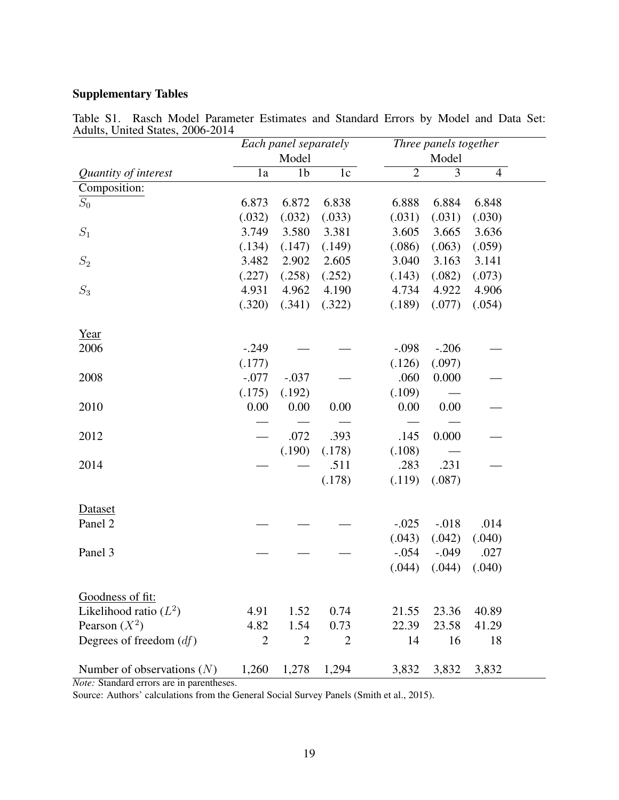### Supplementary Tables

| AQUIIS, UMICA STATES, 2000-2014 | Each panel separately |                |                | Three panels together |         |                |  |
|---------------------------------|-----------------------|----------------|----------------|-----------------------|---------|----------------|--|
|                                 | Model                 |                |                | Model                 |         |                |  |
| Quantity of interest            | 1a                    | 1 <sub>b</sub> | 1c             | $\overline{2}$        | 3       | $\overline{4}$ |  |
| Composition:                    |                       |                |                |                       |         |                |  |
| ${\cal S}_0$                    | 6.873                 | 6.872          | 6.838          | 6.888                 | 6.884   | 6.848          |  |
|                                 | (.032)                | (.032)         | (.033)         | (.031)                | (.031)  | (.030)         |  |
| $\mathcal{S}_1$                 | 3.749                 | 3.580          | 3.381          | 3.605                 | 3.665   | 3.636          |  |
|                                 | (.134)                | (.147)         | (.149)         | (.086)                | (.063)  | (.059)         |  |
| $S_2$                           | 3.482                 | 2.902          | 2.605          | 3.040                 | 3.163   | 3.141          |  |
|                                 | (.227)                | (.258)         | (.252)         | (.143)                | (.082)  | (.073)         |  |
| $\mathcal{S}_3$                 | 4.931                 | 4.962          | 4.190          | 4.734                 | 4.922   | 4.906          |  |
|                                 | (.320)                | (.341)         | (.322)         | (.189)                | (.077)  | (.054)         |  |
| Year                            |                       |                |                |                       |         |                |  |
| 2006                            | $-.249$               |                |                | $-.098$               | $-.206$ |                |  |
|                                 | (.177)                |                |                | (.126)                | (.097)  |                |  |
| 2008                            | $-.077$               | $-.037$        |                | .060                  | 0.000   |                |  |
|                                 | (.175)                | (.192)         |                | (.109)                |         |                |  |
| 2010                            | 0.00                  | 0.00           | 0.00           | 0.00                  | 0.00    |                |  |
|                                 |                       |                |                |                       |         |                |  |
| 2012                            |                       | .072           | .393           | .145                  | 0.000   |                |  |
|                                 |                       | (.190)         | (.178)         | (.108)                |         |                |  |
| 2014                            |                       |                | .511           | .283                  | .231    |                |  |
|                                 |                       |                | (.178)         | (.119)                | (.087)  |                |  |
| Dataset                         |                       |                |                |                       |         |                |  |
| Panel 2                         |                       |                |                | $-.025$               | $-.018$ | .014           |  |
|                                 |                       |                |                | (.043)                | (.042)  | (.040)         |  |
| Panel 3                         |                       |                |                | $-.054$               | $-.049$ | .027           |  |
|                                 |                       |                |                | (.044)                | (.044)  | (.040)         |  |
|                                 |                       |                |                |                       |         |                |  |
| Goodness of fit:                |                       |                |                |                       |         |                |  |
| Likelihood ratio $(L^2)$        | 4.91                  | 1.52           | 0.74           | 21.55                 | 23.36   | 40.89          |  |
| Pearson $(X^2)$                 | 4.82                  | 1.54           | 0.73           | 22.39                 | 23.58   | 41.29          |  |
| Degrees of freedom $(df)$       | $\overline{2}$        | $\overline{2}$ | $\overline{2}$ | 14                    | 16      | 18             |  |
| Number of observations $(N)$    | 1,260                 | 1,278          | 1,294          | 3,832                 | 3,832   | 3,832          |  |

Table S1. Rasch Model Parameter Estimates and Standard Errors by Model and Data Set: Adults, United States, 2006-2014

*Note:* Standard errors are in parentheses.

Source: Authors' calculations from the General Social Survey Panels (Smith et al., 2015).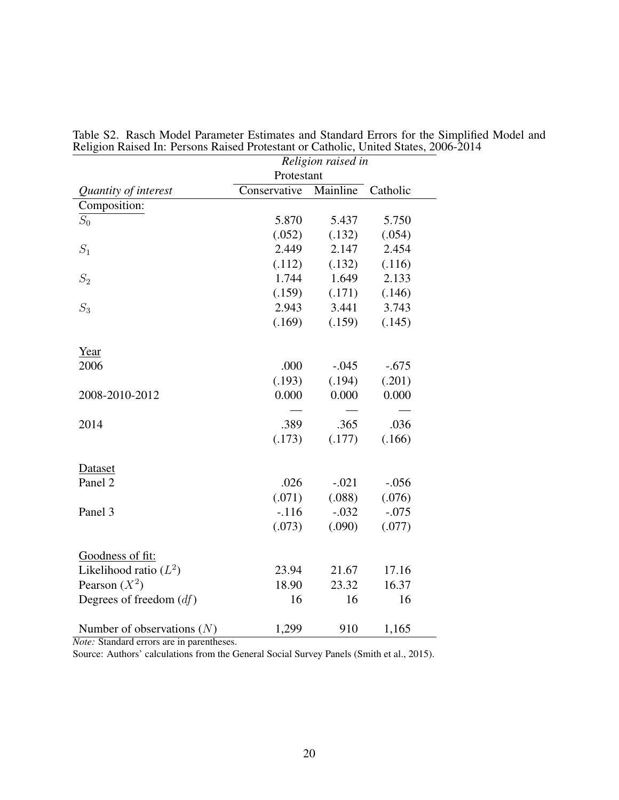|                              | Religion raised in |          |          |  |  |
|------------------------------|--------------------|----------|----------|--|--|
|                              | Protestant         |          |          |  |  |
| Quantity of interest         | Conservative       | Mainline | Catholic |  |  |
| Composition:                 |                    |          |          |  |  |
| $S_0$                        | 5.870              | 5.437    | 5.750    |  |  |
|                              | (.052)             | (.132)   | (.054)   |  |  |
| $S_1$                        | 2.449              | 2.147    | 2.454    |  |  |
|                              | (.112)             | (.132)   | (.116)   |  |  |
| $S_2$                        | 1.744              | 1.649    | 2.133    |  |  |
|                              | (.159)             | (.171)   | (.146)   |  |  |
| $S_3$                        | 2.943              | 3.441    | 3.743    |  |  |
|                              | (.169)             | (.159)   | (.145)   |  |  |
| Year                         |                    |          |          |  |  |
| 2006                         | .000               | $-.045$  | $-.675$  |  |  |
|                              | (.193)             | (.194)   | (.201)   |  |  |
| 2008-2010-2012               | 0.000              | 0.000    | 0.000    |  |  |
|                              |                    |          |          |  |  |
| 2014                         | .389               | .365     | .036     |  |  |
|                              | (.173)             | (.177)   | (.166)   |  |  |
| Dataset                      |                    |          |          |  |  |
| Panel 2                      | .026               | $-.021$  | $-.056$  |  |  |
|                              | (.071)             | (.088)   | (.076)   |  |  |
| Panel 3                      | $-.116$            | $-.032$  | $-.075$  |  |  |
|                              | (.073)             | (.090)   | (.077)   |  |  |
| Goodness of fit:             |                    |          |          |  |  |
| Likelihood ratio $(L^2)$     | 23.94              | 21.67    | 17.16    |  |  |
| Pearson $(X^2)$              | 18.90              | 23.32    | 16.37    |  |  |
| Degrees of freedom $(df)$    | 16                 | 16       | 16       |  |  |
| Number of observations $(N)$ | 1,299              | 910      | 1,165    |  |  |

Table S2. Rasch Model Parameter Estimates and Standard Errors for the Simplified Model and Religion Raised In: Persons Raised Protestant or Catholic, United States, 2006-2014

*Note:* Standard errors are in parentheses.

Source: Authors' calculations from the General Social Survey Panels (Smith et al., 2015).